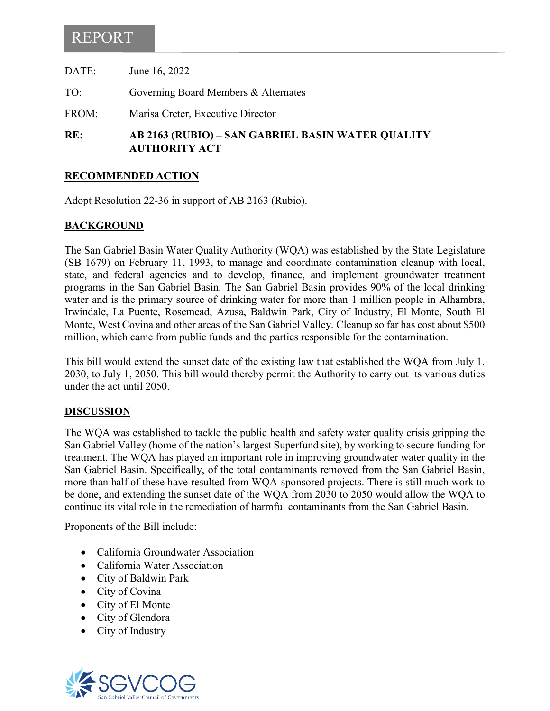# REPORT

| RE:   | AB 2163 (RUBIO) – SAN GABRIEL BASIN WATER QUALITY<br><b>AUTHORITY ACT</b> |
|-------|---------------------------------------------------------------------------|
| FROM: | Marisa Creter, Executive Director                                         |
| TO:   | Governing Board Members & Alternates                                      |
| DATE: | June 16, 2022                                                             |

### **RECOMMENDED ACTION**

Adopt Resolution 22-36 in support of AB 2163 (Rubio).

### **BACKGROUND**

The San Gabriel Basin Water Quality Authority (WQA) was established by the State Legislature (SB 1679) on February 11, 1993, to manage and coordinate contamination cleanup with local, state, and federal agencies and to develop, finance, and implement groundwater treatment programs in the San Gabriel Basin. The San Gabriel Basin provides 90% of the local drinking water and is the primary source of drinking water for more than 1 million people in Alhambra, Irwindale, La Puente, Rosemead, Azusa, Baldwin Park, City of Industry, El Monte, South El Monte, West Covina and other areas of the San Gabriel Valley. Cleanup so far has cost about \$500 million, which came from public funds and the parties responsible for the contamination.

This bill would extend the sunset date of the existing law that established the WQA from July 1, 2030, to July 1, 2050. This bill would thereby permit the Authority to carry out its various duties under the act until 2050.

#### **DISCUSSION**

The WQA was established to tackle the public health and safety water quality crisis gripping the San Gabriel Valley (home of the nation's largest Superfund site), by working to secure funding for treatment. The WQA has played an important role in improving groundwater water quality in the San Gabriel Basin. Specifically, of the total contaminants removed from the San Gabriel Basin, more than half of these have resulted from WQA-sponsored projects. There is still much work to be done, and extending the sunset date of the WQA from 2030 to 2050 would allow the WQA to continue its vital role in the remediation of harmful contaminants from the San Gabriel Basin.

Proponents of the Bill include:

- California Groundwater Association
- California Water Association
- City of Baldwin Park
- City of Covina
- City of El Monte
- City of Glendora
- City of Industry